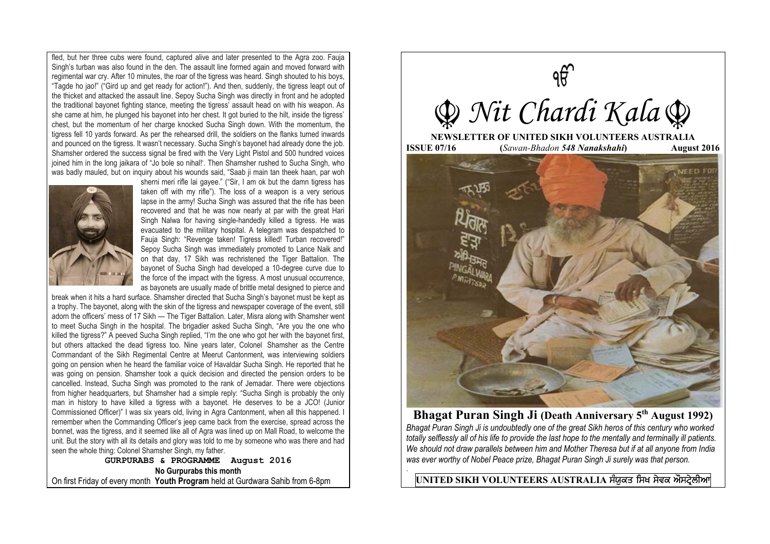fled, but her three cubs were found, captured alive and later presented to the Agra zoo. Fauja Singh's turban was also found in the den. The assault line formed again and moved forward with regimental war cry. After 10 minutes, the roar of the tigress was heard. Singh shouted to his boys, "Tagde ho jao!" ("Gird up and get ready for action!"). And then, suddenly, the tigress leapt out of the thicket and attacked the assault line. Sepoy Sucha Singh was directly in front and he adopted the traditional bayonet fighting stance, meeting the tigress' assault head on with his weapon. As she came at him, he plunged his bayonet into her chest. It got buried to the hilt, inside the tigress' chest, but the momentum of her charge knocked Sucha Singh down. With the momentum, the tigress fell 10 yards forward. As per the rehearsed drill, the soldiers on the flanks turned inwards and pounced on the tigress. It wasn't necessary. Sucha Singh's bayonet had already done the job. Shamsher ordered the success signal be fired with the Very Light Pistol and 500 hundred voices joined him in the long jaikara of "Jo bole so nihal!'. Then Shamsher rushed to Sucha Singh, who was badly mauled, but on inquiry about his wounds said, "Saab ji main tan theek haan, par woh



sherni meri rifle lai gayee." ("Sir, I am ok but the damn tigress has taken off with my rifle"). The loss of a weapon is a very serious lapse in the army! Sucha Singh was assured that the rifle has been recovered and that he was now nearly at par with the great Hari Singh Nalwa for having single-handedly killed a tigress. He was evacuated to the military hospital. A telegram was despatched to Fauja Singh: "Revenge taken! Tigress killed! Turban recovered!" Sepoy Sucha Singh was immediately promoted to Lance Naik and on that day, 17 Sikh was rechristened the Tiger Battalion. The bayonet of Sucha Singh had developed a 10-degree curve due to the force of the impact with the tigress. A most unusual occurrence, as bayonets are usually made of brittle metal designed to pierce and

break when it hits a hard surface. Shamsher directed that Sucha Singh's bayonet must be kept as a trophy. The bayonet, along with the skin of the tigress and newspaper coverage of the event, still adorn the officers' mess of 17 Sikh — The Tiger Battalion. Later, Misra along with Shamsher went to meet Sucha Singh in the hospital. The brigadier asked Sucha Singh, "Are you the one who killed the tigress?" A peeved Sucha Singh replied, "I'm the one who got her with the bayonet first, but others attacked the dead tigress too. Nine years later, Colonel Shamsher as the Centre Commandant of the Sikh Regimental Centre at Meerut Cantonment, was interviewing soldiers going on pension when he heard the familiar voice of Havaldar Sucha Singh. He reported that he was going on pension. Shamsher took a quick decision and directed the pension orders to be cancelled. Instead, Sucha Singh was promoted to the rank of Jemadar. There were objections from higher headquarters, but Shamsher had a simple reply: "Sucha Singh is probably the only man in history to have killed a tigress with a bayonet. He deserves to be a JCO! (Junior Commissioned Officer)" I was six years old, living in Agra Cantonment, when all this happened. I remember when the Commanding Officer's jeep came back from the exercise, spread across the bonnet, was the tigress, and it seemed like all of Agra was lined up on Mall Road, to welcome the unit. But the story with all its details and glory was told to me by someone who was there and had seen the whole thing: Colonel Shamsher Singh, my father.

**GURPURABS & PROGRAMME August 2016 No Gurpurabs this month**  On first Friday of every month **Youth Program** held at Gurdwara Sahib from 6-8pm



**Bhagat Puran Singh Ji (Death Anniversary 5th August 1992)**  *Bhagat Puran Singh Ji is undoubtedly one of the great Sikh heros of this century who worked totally selflessly all of his life to provide the last hope to the mentally and terminally ill patients. We should not draw parallels between him and Mother Theresa but if at all anyone from India was ever worthy of Nobel Peace prize, Bhagat Puran Singh Ji surely was that person.* 

UNITED SIKH VOLUNTEERS AUSTRALIA ਸੰਯੁਕਤ ਸਿਖ ਸੇਵਕ ਔਸਟ੍ਰੇਲੀਆ